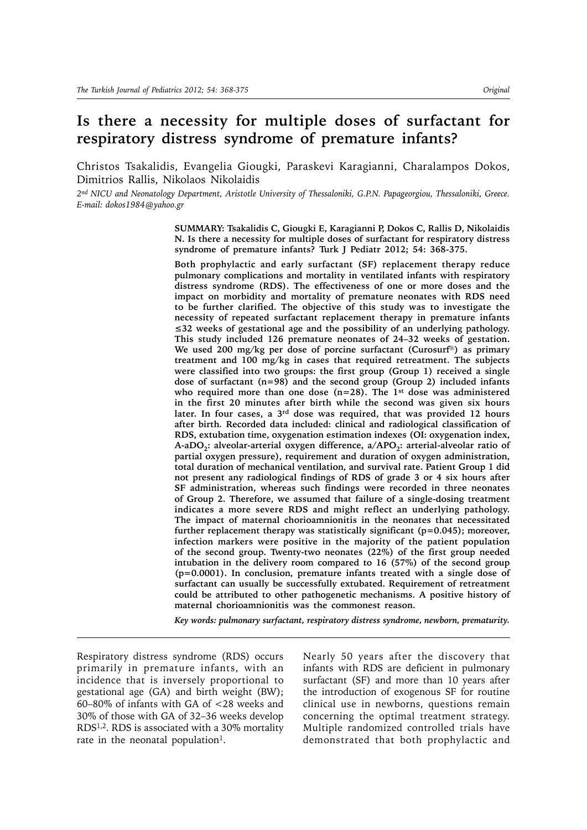# **Is there a necessity for multiple doses of surfactant for respiratory distress syndrome of premature infants?**

Christos Tsakalidis, Evangelia Giougki, Paraskevi Karagianni, Charalampos Dokos, Dimitrios Rallis, Nikolaos Nikolaidis

*2nd NICU and Neonatology Department, Aristotle University of Thessaloniki, G.P.N. Papageorgiou, Thessaloniki, Greece. E-mail: dokos1984@yahoo.gr*

> **SUMMARY: Tsakalidis C, Giougki E, Karagianni P, Dokos C, Rallis D, Nikolaidis N. Is there a necessity for multiple doses of surfactant for respiratory distress syndrome of premature infants? Turk J Pediatr 2012; 54: 368-375.**

> **Both prophylactic and early surfactant (SF) replacement therapy reduce pulmonary complications and mortality in ventilated infants with respiratory distress syndrome (RDS). The effectiveness of one or more doses and the impact on morbidity and mortality of premature neonates with RDS need to be further clarified. The objective of this study was to investigate the necessity of repeated surfactant replacement therapy in premature infants ≤32 weeks of gestational age and the possibility of an underlying pathology. This study included 126 premature neonates of 24–32 weeks of gestation. We used 200 mg/kg per dose of porcine surfactant (Curosurf) as primary treatment and 100 mg/kg in cases that required retreatment. The subjects were classified into two groups: the first group (Group 1) received a single dose of surfactant (n=98) and the second group (Group 2) included infants who required more than one dose (n=28). The 1st dose was administered in the first 20 minutes after birth while the second was given six hours later. In four cases, a 3rd dose was required, that was provided 12 hours after birth. Recorded data included: clinical and radiological classification of RDS, extubation time, oxygenation estimation indexes (OI: oxygenation index,**  A-aDO<sub>2</sub>: alveolar-arterial oxygen difference, a/APO<sub>2</sub>: arterial-alveolar ratio of **partial oxygen pressure), requirement and duration of oxygen administration, total duration of mechanical ventilation, and survival rate. Patient Group 1 did not present any radiological findings of RDS of grade 3 or 4 six hours after SF administration, whereas such findings were recorded in three neonates of Group 2. Therefore, we assumed that failure of a single-dosing treatment indicates a more severe RDS and might reflect an underlying pathology. The impact of maternal chorioamnionitis in the neonates that necessitated further replacement therapy was statistically significant (p=0.045); moreover, infection markers were positive in the majority of the patient population of the second group. Twenty-two neonates (22%) of the first group needed intubation in the delivery room compared to 16 (57%) of the second group (p=0.0001). In conclusion, premature infants treated with a single dose of surfactant can usually be successfully extubated. Requirement of retreatment could be attributed to other pathogenetic mechanisms. A positive history of maternal chorioamnionitis was the commonest reason.**

> *Key words: pulmonary surfactant, respiratory distress syndrome, newborn, prematurity.*

Respiratory distress syndrome (RDS) occurs primarily in premature infants, with an incidence that is inversely proportional to gestational age (GA) and birth weight (BW); 60–80% of infants with GA of <28 weeks and 30% of those with GA of 32–36 weeks develop RDS1,2. RDS is associated with a 30% mortality rate in the neonatal population<sup>1</sup>.

Nearly 50 years after the discovery that infants with RDS are deficient in pulmonary surfactant (SF) and more than 10 years after the introduction of exogenous SF for routine clinical use in newborns, questions remain concerning the optimal treatment strategy. Multiple randomized controlled trials have demonstrated that both prophylactic and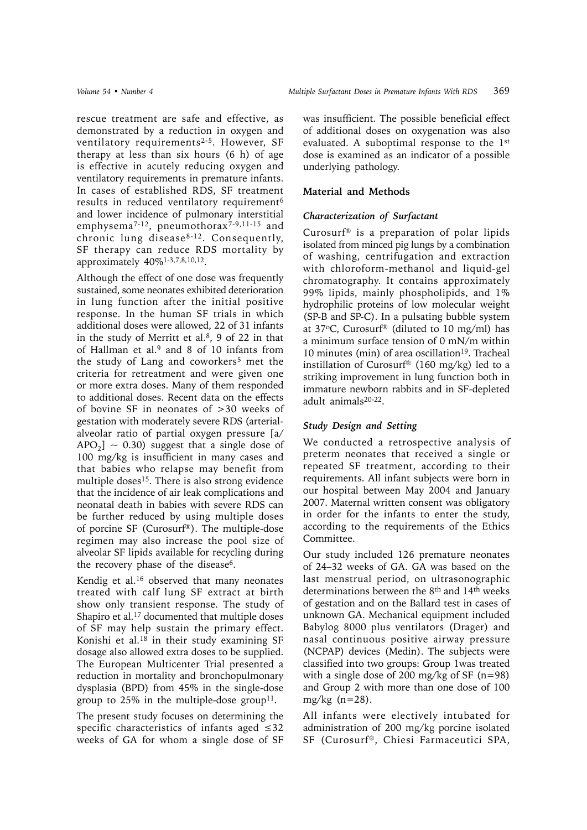rescue treatment are safe and effective, as demonstrated by a reduction in oxygen and ventilatory requirements<sup>2-5</sup>. However, SF therapy at less than six hours (6 h) of age is effective in acutely reducing oxygen and ventilatory requirements in premature infants. In cases of established RDS, SF treatment results in reduced ventilatory requirement<sup>6</sup> and lower incidence of pulmonary interstitial emphysema<sup>7-12</sup>, pneumothorax<sup>7-9,11-15</sup> and chronic lung disease8-12. Consequently, SF therapy can reduce RDS mortality by approximately 40%1-3,7,8,10,12.

Although the effect of one dose was frequently sustained, some neonates exhibited deterioration in lung function after the initial positive response. In the human SF trials in which additional doses were allowed, 22 of 31 infants in the study of Merritt et al.<sup>8</sup>, 9 of 22 in that of Hallman et al.<sup>9</sup> and 8 of 10 infants from the study of Lang and coworkers<sup>5</sup> met the criteria for retreatment and were given one or more extra doses. Many of them responded to additional doses. Recent data on the effects of bovine SF in neonates of >30 weeks of gestation with moderately severe RDS (arterialalveolar ratio of partial oxygen pressure [a/  $APO<sub>2</sub>$ ] ~ 0.30) suggest that a single dose of 100 mg/kg is insufficient in many cases and that babies who relapse may benefit from multiple doses<sup>15</sup>. There is also strong evidence that the incidence of air leak complications and neonatal death in babies with severe RDS can be further reduced by using multiple doses of porcine SF (Curosurf®). The multiple-dose regimen may also increase the pool size of alveolar SF lipids available for recycling during the recovery phase of the disease<sup>6</sup>.

Kendig et al.16 observed that many neonates treated with calf lung SF extract at birth show only transient response. The study of Shapiro et al.17 documented that multiple doses of SF may help sustain the primary effect. Konishi et al.18 in their study examining SF dosage also allowed extra doses to be supplied. The European Multicenter Trial presented a reduction in mortality and bronchopulmonary dysplasia (BPD) from 45% in the single-dose group to  $25\%$  in the multiple-dose group<sup>11</sup>.

The present study focuses on determining the specific characteristics of infants aged ≤32 weeks of GA for whom a single dose of SF was insufficient. The possible beneficial effect of additional doses on oxygenation was also evaluated. A suboptimal response to the 1st dose is examined as an indicator of a possible underlying pathology.

### **Material and Methods**

#### *Characterization of Surfactant*

Curosurf® is a preparation of polar lipids isolated from minced pig lungs by a combination of washing, centrifugation and extraction with chloroform-methanol and liquid-gel chromatography. It contains approximately 99% lipids, mainly phospholipids, and 1% hydrophilic proteins of low molecular weight (SP-B and SP-C). In a pulsating bubble system at 37 $\degree$ C, Curosurf® (diluted to 10 mg/ml) has a minimum surface tension of 0 mN/m within 10 minutes (min) of area oscillation<sup>19</sup>. Tracheal instillation of Curosurf® (160 mg/kg) led to a striking improvement in lung function both in immature newborn rabbits and in SF-depleted adult animals20-22.

#### *Study Design and Setting*

We conducted a retrospective analysis of preterm neonates that received a single or repeated SF treatment, according to their requirements. All infant subjects were born in our hospital between May 2004 and January 2007. Maternal written consent was obligatory in order for the infants to enter the study, according to the requirements of the Ethics Committee.

Our study included 126 premature neonates of 24–32 weeks of GA. GA was based on the last menstrual period, on ultrasonographic determinations between the 8<sup>th</sup> and 14<sup>th</sup> weeks of gestation and on the Ballard test in cases of unknown GA. Mechanical equipment included Babylog 8000 plus ventilators (Drager) and nasal continuous positive airway pressure (NCPAP) devices (Medin). The subjects were classified into two groups: Group 1was treated with a single dose of 200 mg/kg of SF (n=98) and Group 2 with more than one dose of 100 mg/kg  $(n=28)$ .

All infants were electively intubated for administration of 200 mg/kg porcine isolated SF (Curosurf®, Chiesi Farmaceutici SPA,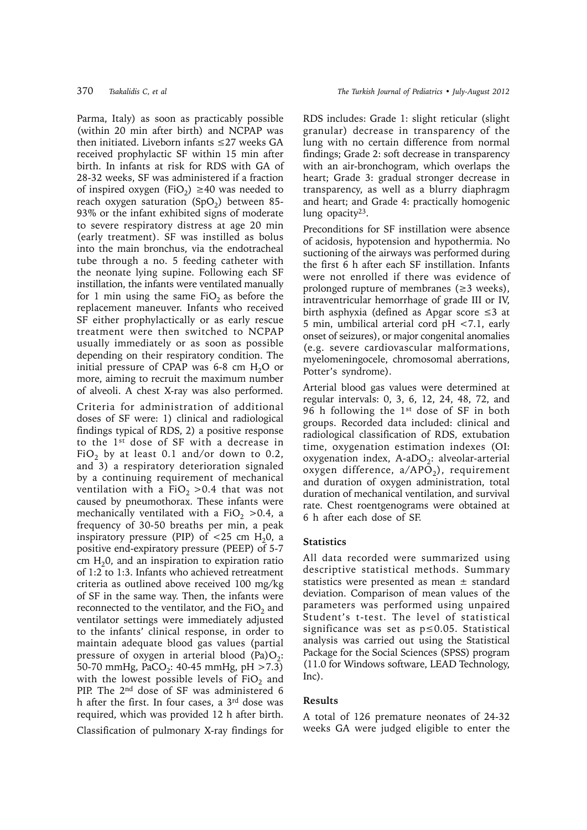Parma, Italy) as soon as practicably possible (within 20 min after birth) and NCPAP was then initiated. Liveborn infants ≤27 weeks GA received prophylactic SF within 15 min after birth. In infants at risk for RDS with GA of 28-32 weeks, SF was administered if a fraction of inspired oxygen (FiO<sub>2</sub>) ≥40 was needed to reach oxygen saturation  $(SpO<sub>2</sub>)$  between 85-93% or the infant exhibited signs of moderate to severe respiratory distress at age 20 min (early treatment). SF was instilled as bolus into the main bronchus, via the endotracheal tube through a no. 5 feeding catheter with the neonate lying supine. Following each SF instillation, the infants were ventilated manually for 1 min using the same  $FiO<sub>2</sub>$  as before the replacement maneuver. Infants who received SF either prophylactically or as early rescue treatment were then switched to NCPAP usually immediately or as soon as possible depending on their respiratory condition. The initial pressure of CPAP was 6-8 cm  $H_2O$  or more, aiming to recruit the maximum number of alveoli. A chest X-ray was also performed.

Criteria for administration of additional doses of SF were: 1) clinical and radiological findings typical of RDS, 2) a positive response to the 1st dose of SF with a decrease in FiO<sub>2</sub> by at least 0.1 and/or down to 0.2, and 3) a respiratory deterioration signaled by a continuing requirement of mechanical ventilation with a  $FiO<sub>2</sub> > 0.4$  that was not caused by pneumothorax. These infants were mechanically ventilated with a FiO<sub>2</sub> > 0.4, a frequency of 30-50 breaths per min, a peak inspiratory pressure (PIP) of  $<$ 25 cm H<sub>2</sub>0, a positive end-expiratory pressure (PEEP) of 5-7 cm  $H<sub>2</sub>0$ , and an inspiration to expiration ratio of 1:2 to 1:3. Infants who achieved retreatment criteria as outlined above received 100 mg/kg of SF in the same way. Then, the infants were reconnected to the ventilator, and the  $FiO<sub>2</sub>$  and ventilator settings were immediately adjusted to the infants' clinical response, in order to maintain adequate blood gas values (partial pressure of oxygen in arterial blood  $(Pa)O<sub>2</sub>$ : 50-70 mmHg, PaCO<sub>2</sub>: 40-45 mmHg, pH > 7.3) with the lowest possible levels of  $FiO<sub>2</sub>$  and PIP. The 2<sup>nd</sup> dose of SF was administered 6 h after the first. In four cases, a 3rd dose was required, which was provided 12 h after birth.

Classification of pulmonary X-ray findings for

RDS includes: Grade 1: slight reticular (slight granular) decrease in transparency of the lung with no certain difference from normal findings; Grade 2: soft decrease in transparency with an air-bronchogram, which overlaps the heart; Grade 3: gradual stronger decrease in transparency, as well as a blurry diaphragm and heart; and Grade 4: practically homogenic lung opacity<sup>23</sup>.

Preconditions for SF instillation were absence of acidosis, hypotension and hypothermia. No suctioning of the airways was performed during the first 6 h after each SF instillation. Infants were not enrolled if there was evidence of prolonged rupture of membranes (≥3 weeks), intraventricular hemorrhage of grade III or IV, birth asphyxia (defined as Apgar score ≤3 at 5 min, umbilical arterial cord pH <7.1, early onset of seizures), or major congenital anomalies (e.g. severe cardiovascular malformations, myelomeningocele, chromosomal aberrations, Potter's syndrome).

Arterial blood gas values were determined at regular intervals: 0, 3, 6, 12, 24, 48, 72, and 96 h following the  $1<sup>st</sup>$  dose of SF in both groups. Recorded data included: clinical and radiological classification of RDS, extubation time, oxygenation estimation indexes (OI: oxygenation index,  $A-aDO<sub>2</sub>$ : alveolar-arterial oxygen difference,  $a/APO<sub>2</sub>$ ), requirement and duration of oxygen administration, total duration of mechanical ventilation, and survival rate. Chest roentgenograms were obtained at 6 h after each dose of SF.

# **Statistics**

All data recorded were summarized using descriptive statistical methods. Summary statistics were presented as mean ± standard deviation. Comparison of mean values of the parameters was performed using unpaired Student's t-test. The level of statistical significance was set as p≤0.05. Statistical analysis was carried out using the Statistical Package for the Social Sciences (SPSS) program (11.0 for Windows software, LEAD Technology,  $Inc$ ).

## **Results**

A total of 126 premature neonates of 24-32 weeks GA were judged eligible to enter the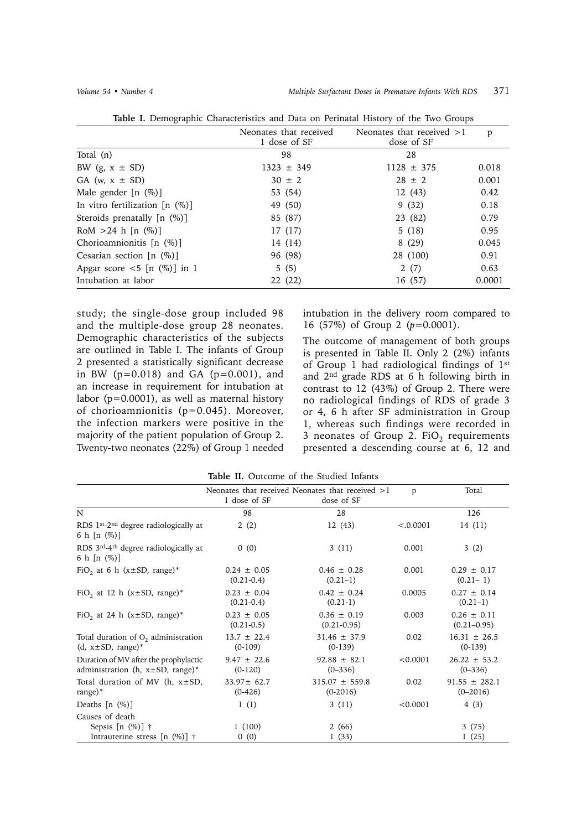|                                  | Neonates that received | Neonates that received $>1$ | p      |
|----------------------------------|------------------------|-----------------------------|--------|
|                                  | 1 dose of SF           | dose of SF                  |        |
| Total (n)                        | 98                     | 28                          |        |
| BW $(g, x \pm SD)$               | $1323 \pm 349$         | $1128 \pm 375$              | 0.018  |
| GA (w, $x \pm SD$ )              | $30 \pm 2$             | $28 \pm 2$                  | 0.001  |
| Male gender $[n \ (\%)]$         | 53 (54)                | 12(43)                      | 0.42   |
| In vitro fertilization $[n (%)]$ | 49 (50)                | 9(32)                       | 0.18   |
| Steroids prenatally $[n (%)]$    | 85 (87)                | 23 (82)                     | 0.79   |
| RoM $>24$ h [n $(\%)$ ]          | 17 (17)                | 5(18)                       | 0.95   |
| Chorioamnionitis [n (%)]         | 14 (14)                | 8(29)                       | 0.045  |
| Cesarian section $[n \ (\%)]$    | 96 (98)                | 28 (100)                    | 0.91   |
| Apgar score $\lt 5$ [n (%)] in 1 | 5(5)                   | 2(7)                        | 0.63   |
| Intubation at labor              | 22 (22)                | 16 (57)                     | 0.0001 |

**Table I.** Demographic Characteristics and Data on Perinatal History of the Two Groups

study; the single-dose group included 98 and the multiple-dose group 28 neonates. Demographic characteristics of the subjects are outlined in Table I. The infants of Group 2 presented a statistically significant decrease in BW (p*=*0.018) and GA (p*=*0.001), and an increase in requirement for intubation at labor (p*=*0.0001), as well as maternal history of chorioamnionitis (p*=*0.045). Moreover, the infection markers were positive in the majority of the patient population of Group 2. Twenty-two neonates (22%) of Group 1 needed

intubation in the delivery room compared to 16 (57%) of Group 2 (*p*=0.0001).

The outcome of management of both groups is presented in Table II. Only 2 (2%) infants of Group 1 had radiological findings of 1st and 2nd grade RDS at 6 h following birth in contrast to 12 (43%) of Group 2. There were no radiological findings of RDS of grade 3 or 4, 6 h after SF administration in Group 1, whereas such findings were recorded in 3 neonates of Group 2. FiO<sub>2</sub> requirements presented a descending course at 6, 12 and

|                                                                                  | Neonates that received Neonates that received $>1$ |                                    | p        | Total                              |
|----------------------------------------------------------------------------------|----------------------------------------------------|------------------------------------|----------|------------------------------------|
|                                                                                  | 1 dose of SF                                       | dose of SF                         |          |                                    |
| N                                                                                | 98                                                 | 28                                 |          | 126                                |
| RDS $1st$ -2 <sup>nd</sup> degree radiologically at<br>6 h [n $(\%)$ ]           | 2(2)                                               | 12(43)                             | < 0.0001 | 14(11)                             |
| RDS 3rd-4 <sup>th</sup> degree radiologically at<br>6 h [n $(\%)$ ]              | 0(0)                                               | 3(11)                              | 0.001    | 3(2)                               |
| FiO <sub>2</sub> at 6 h ( $x \pm SD$ , range)*                                   | $0.24 \pm 0.05$<br>$(0.21 - 0.4)$                  | $0.46 \pm 0.28$<br>$(0.21-1)$      | 0.001    | $0.29 \pm 0.17$<br>$(0.21-1)$      |
| FiO <sub>2</sub> at 12 h ( $x \pm SD$ , range)*                                  | $0.23 \pm 0.04$<br>$(0.21 - 0.4)$                  | $0.42 \pm 0.24$<br>$(0.21-1)$      | 0.0005   | $0.27 \pm 0.14$<br>$(0.21-1)$      |
| FiO <sub>2</sub> at 24 h ( $x \pm SD$ , range)*                                  | $0.23 \pm 0.05$<br>$(0.21 - 0.5)$                  | $0.36 \pm 0.19$<br>$(0.21 - 0.95)$ | 0.003    | $0.26 \pm 0.11$<br>$(0.21 - 0.95)$ |
| Total duration of $O2$ administration<br>$(d, x \pm SD, range)^*$                | $13.7 \pm 22.4$<br>$(0-109)$                       | $31.46 \pm 37.9$<br>$(0-139)$      | 0.02     | $16.31 \pm 26.5$<br>$(0-139)$      |
| Duration of MV after the prophylactic<br>administration (h, $x \pm SD$ , range)* | $9.47 \pm 22.6$<br>$(0-120)$                       | $92.88 \pm 82.1$<br>$(0 - 336)$    | < 0.0001 | $26.22 \pm 53.2$<br>$(0 - 336)$    |
| Total duration of MV (h, $x \pm SD$ ,<br>range $)^*$                             | $33.97 \pm 62.7$<br>$(0-426)$                      | $315.07 \pm 559.8$<br>$(0-2016)$   | 0.02     | $91.55 \pm 282.1$<br>$(0-2016)$    |
| Deaths $[n \ (\%)]$                                                              | 1(1)                                               | 3(11)                              | < 0.0001 | 4 (3)                              |
| Causes of death<br>Sepsis $[n \ (\%)]$ †                                         | 1(100)                                             | 2(66)                              |          | 3(75)                              |
| Intrauterine stress [n $(\%)$ ] †                                                | 0(0)                                               | 1(33)                              |          | 1(25)                              |

**Table II.** Outcome of the Studied Infants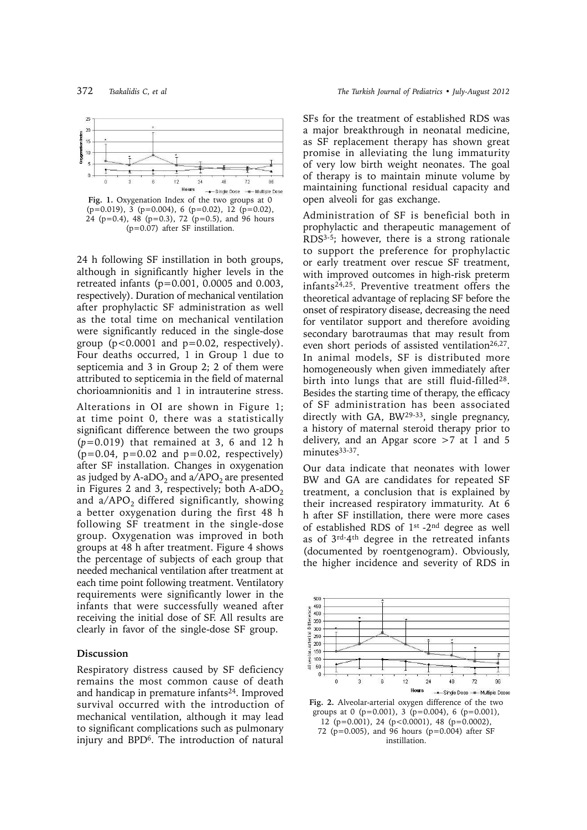

(p=0.07) after SF instillation.

24 h following SF instillation in both groups, although in significantly higher levels in the retreated infants (p*=*0.001, 0.0005 and 0.003, respectively). Duration of mechanical ventilation after prophylactic SF administration as well as the total time on mechanical ventilation were significantly reduced in the single-dose group (p*<*0.0001 and p*=*0.02, respectively). Four deaths occurred, 1 in Group 1 due to septicemia and 3 in Group 2; 2 of them were attributed to septicemia in the field of maternal chorioamnionitis and 1 in intrauterine stress.

Alterations in OI are shown in Figure 1; at time point 0, there was a statistically significant difference between the two groups (*p*=0.019) that remained at 3, 6 and 12 h  $(p=0.04, p=0.02, and p=0.02, respectively)$ after SF installation. Changes in oxygenation as judged by A-aDO<sub>2</sub> and  $a/APO<sub>2</sub>$  are presented in Figures 2 and 3, respectively; both A-aDO<sub>2</sub> and  $a/APO<sub>2</sub>$  differed significantly, showing a better oxygenation during the first 48 h following SF treatment in the single-dose group. Oxygenation was improved in both groups at 48 h after treatment. Figure 4 shows the percentage of subjects of each group that needed mechanical ventilation after treatment at each time point following treatment. Ventilatory requirements were significantly lower in the infants that were successfully weaned after receiving the initial dose of SF. All results are clearly in favor of the single-dose SF group.

#### **Discussion**

Respiratory distress caused by SF deficiency remains the most common cause of death and handicap in premature infants<sup>24</sup>. Improved survival occurred with the introduction of mechanical ventilation, although it may lead to significant complications such as pulmonary injury and BPD6. The introduction of natural

SFs for the treatment of established RDS was a major breakthrough in neonatal medicine, as SF replacement therapy has shown great promise in alleviating the lung immaturity of very low birth weight neonates. The goal of therapy is to maintain minute volume by maintaining functional residual capacity and open alveoli for gas exchange.

Administration of SF is beneficial both in prophylactic and therapeutic management of RDS3-5; however, there is a strong rationale to support the preference for prophylactic or early treatment over rescue SF treatment, with improved outcomes in high-risk preterm infants24,25. Preventive treatment offers the theoretical advantage of replacing SF before the onset of respiratory disease, decreasing the need for ventilator support and therefore avoiding secondary barotraumas that may result from even short periods of assisted ventilation<sup>26,27</sup>. In animal models, SF is distributed more homogeneously when given immediately after birth into lungs that are still fluid-filled<sup>28</sup>. Besides the starting time of therapy, the efficacy of SF administration has been associated directly with GA, BW<sup>29-33</sup>, single pregnancy, a history of maternal steroid therapy prior to delivery, and an Apgar score  $>7$  at 1 and 5 minutes<sup>33-37</sup>.

Our data indicate that neonates with lower BW and GA are candidates for repeated SF treatment, a conclusion that is explained by their increased respiratory immaturity. At 6 h after SF instillation, there were more cases of established RDS of 1st -2nd degree as well as of 3rd-4th degree in the retreated infants (documented by roentgenogram). Obviously, the higher incidence and severity of RDS in



**Fig. 2.** Alveolar-arterial oxygen difference of the two groups at 0 ( $p=0.001$ ), 3 ( $p=0.004$ ), 6 ( $p=0.001$ ),  $12 (p=0.001)$ , 24 (p<0.0001), 48 (p=0.0002), 72 ( $p=0.005$ ), and 96 hours ( $p=0.004$ ) after SF instillation.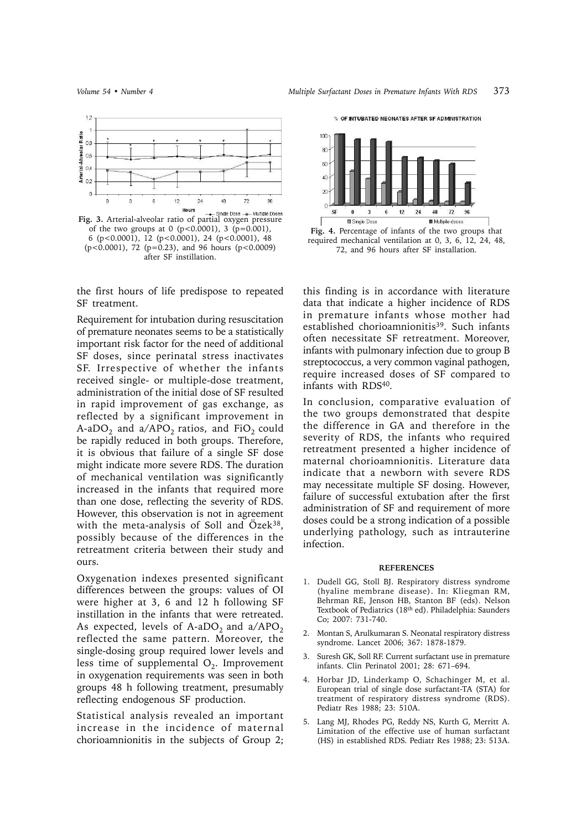% OF INTUBATED NEONATES AFTER SF ADMINISTRATION



**Fig. 3.** Arterial-alveolar ratio of partial oxygen pressure of the two groups at 0  $(p<0.0001)$ , 3  $(p=0.001)$ , 6 (p<0.0001), 12 (p<0.0001), 24 (p<0.0001), 48 (p<0.0001), 72 (p=0.23), and 96 hours (p<0.0009) after SF instillation.

the first hours of life predispose to repeated SF treatment.

Requirement for intubation during resuscitation of premature neonates seems to be a statistically important risk factor for the need of additional SF doses, since perinatal stress inactivates SF. Irrespective of whether the infants received single- or multiple-dose treatment, administration of the initial dose of SF resulted in rapid improvement of gas exchange, as reflected by a significant improvement in A-aDO<sub>2</sub> and a/APO<sub>2</sub> ratios, and FiO<sub>2</sub> could be rapidly reduced in both groups. Therefore, it is obvious that failure of a single SF dose might indicate more severe RDS. The duration of mechanical ventilation was significantly increased in the infants that required more than one dose, reflecting the severity of RDS. However, this observation is not in agreement with the meta-analysis of Soll and Özek<sup>38</sup>, possibly because of the differences in the retreatment criteria between their study and ours.

Oxygenation indexes presented significant differences between the groups: values of OI were higher at 3, 6 and 12 h following SF instillation in the infants that were retreated. As expected, levels of A-aDO<sub>2</sub> and  $a/APO<sub>2</sub>$ reflected the same pattern. Moreover, the single-dosing group required lower levels and less time of supplemental  $O<sub>2</sub>$ . Improvement in oxygenation requirements was seen in both groups 48 h following treatment, presumably reflecting endogenous SF production.

Statistical analysis revealed an important increase in the incidence of maternal chorioamnionitis in the subjects of Group 2;



**Fig. 4.** Percentage of infants of the two groups that required mechanical ventilation at 0, 3, 6, 12, 24, 48, 72, and 96 hours after SF installation.

this finding is in accordance with literature data that indicate a higher incidence of RDS in premature infants whose mother had established chorioamnionitis<sup>39</sup>. Such infants often necessitate SF retreatment. Moreover, infants with pulmonary infection due to group B streptococcus, a very common vaginal pathogen, require increased doses of SF compared to infants with RDS40.

In conclusion, comparative evaluation of the two groups demonstrated that despite the difference in GA and therefore in the severity of RDS, the infants who required retreatment presented a higher incidence of maternal chorioamnionitis. Literature data indicate that a newborn with severe RDS may necessitate multiple SF dosing. However, failure of successful extubation after the first administration of SF and requirement of more doses could be a strong indication of a possible underlying pathology, such as intrauterine infection.

#### **REFERENCES**

- 1. Dudell GG, Stoll BJ. Respiratory distress syndrome (hyaline membrane disease). In: Kliegman RM, Behrman RE, Jenson HB, Stanton BF (eds). Nelson Textbook of Pediatrics (18th ed). Philadelphia: Saunders Co; 2007: 731-740.
- 2. Montan S, Arulkumaran S. Neonatal respiratory distress syndrome. Lancet 2006; 367: 1878-1879.
- 3. Suresh GK, Soll RF. Current surfactant use in premature infants. Clin Perinatol 2001; 28: 671–694.
- 4. Horbar JD, Linderkamp O, Schachinger M, et al. European trial of single dose surfactant-TA (STA) for treatment of respiratory distress syndrome (RDS). Pediatr Res 1988; 23: 510A.
- 5. Lang MJ, Rhodes PG, Reddy NS, Kurth G, Merritt A. Limitation of the effective use of human surfactant (HS) in established RDS. Pediatr Res 1988; 23: 513A.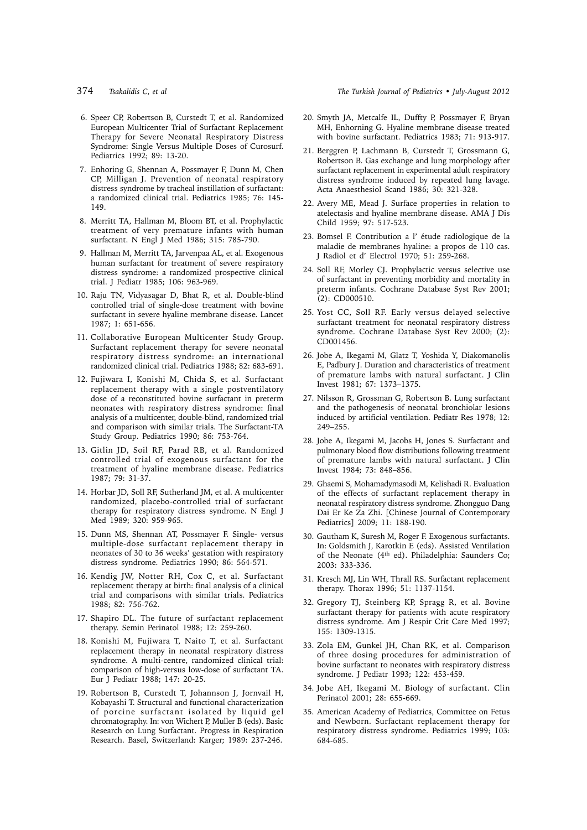#### 374 *Tsakalidis C, et al The Turkish Journal of Pediatrics • July-August 2012*

- 6. Speer CP, Robertson B, Curstedt T, et al. Randomized European Multicenter Trial of Surfactant Replacement Therapy for Severe Neonatal Respiratory Distress Syndrome: Single Versus Multiple Doses of Curosurf. Pediatrics 1992; 89: 13-20.
- 7. Enhoring G, Shennan A, Possmayer F, Dunn M, Chen CP, Milligan J. Prevention of neonatal respiratory distress syndrome by tracheal instillation of surfactant: a randomized clinical trial. Pediatrics 1985; 76: 145- 149.
- 8. Merritt TA, Hallman M, Bloom BT, et al. Prophylactic treatment of very premature infants with human surfactant. N Engl J Med 1986; 315: 785-790.
- 9. Hallman M, Merritt TA, Jarvenpaa AL, et al. Exogenous human surfactant for treatment of severe respiratory distress syndrome: a randomized prospective clinical trial. J Pediatr 1985; 106: 963-969.
- 10. Raju TN, Vidyasagar D, Bhat R, et al. Double-blind controlled trial of single-dose treatment with bovine surfactant in severe hyaline membrane disease. Lancet 1987; 1: 651-656.
- 11. Collaborative European Multicenter Study Group. Surfactant replacement therapy for severe neonatal respiratory distress syndrome: an international randomized clinical trial. Pediatrics 1988; 82: 683-691.
- 12. Fujiwara I, Konishi M, Chida S, et al. Surfactant replacement therapy with a single postventilatory dose of a reconstituted bovine surfactant in preterm neonates with respiratory distress syndrome: final analysis of a multicenter, double-blind, randomized trial and comparison with similar trials. The Surfactant-TA Study Group. Pediatrics 1990; 86: 753-764.
- 13. Gitlin JD, Soil RF, Parad RB, et al. Randomized controlled trial of exogenous surfactant for the treatment of hyaline membrane disease. Pediatrics 1987; 79: 31-37.
- 14. Horbar JD, Soll RF, Sutherland JM, et al. A multicenter randomized, placebo-controlled trial of surfactant therapy for respiratory distress syndrome. N Engl J Med 1989; 320: 959-965.
- 15. Dunn MS, Shennan AT, Possmayer F. Single- versus multiple-dose surfactant replacement therapy in neonates of 30 to 36 weeks' gestation with respiratory distress syndrome. Pediatrics 1990; 86: 564-571.
- 16. Kendig JW, Notter RH, Cox C, et al. Surfactant replacement therapy at birth: final analysis of a clinical trial and comparisons with similar trials. Pediatrics 1988; 82: 756-762.
- 17. Shapiro DL. The future of surfactant replacement therapy. Semin Perinatol 1988; 12: 259-260.
- 18. Konishi M, Fujiwara T, Naito T, et al. Surfactant replacement therapy in neonatal respiratory distress syndrome. A multi-centre, randomized clinical trial: comparison of high-versus low-dose of surfactant TA. Eur J Pediatr 1988; 147: 20-25.
- 19. Robertson B, Curstedt T, Johannson J, Jornvail H, Kobayashi T. Structural and functional characterization of porcine surfactant isolated by liquid gel chromatography. In: von Wichert P, Muller B (eds). Basic Research on Lung Surfactant. Progress in Respiration Research. Basel, Switzerland: Karger; 1989: 237-246.
- 20. Smyth JA, Metcalfe IL, Duffty P, Possmayer F, Bryan MH, Enhorning G. Hyaline membrane disease treated with bovine surfactant. Pediatrics 1983; 71: 913-917.
- 21. Berggren P, Lachmann B, Curstedt T, Grossmann G, Robertson B. Gas exchange and lung morphology after surfactant replacement in experimental adult respiratory distress syndrome induced by repeated lung lavage. Acta Anaesthesiol Scand 1986; 30: 321-328.
- 22. Avery ME, Mead J. Surface properties in relation to atelectasis and hyaline membrane disease. AMA J Dis Child 1959; 97: 517-523.
- 23. Bomsel F. Contribution a l' étude radiologique de la maladie de membranes hyaline: a propos de 110 cas. J Radiol et d' Electrol 1970; 51: 259-268.
- 24. Soll RF, Morley CJ. Prophylactic versus selective use of surfactant in preventing morbidity and mortality in preterm infants. Cochrane Database Syst Rev 2001; (2): CD000510.
- 25. Yost CC, Soll RF. Early versus delayed selective surfactant treatment for neonatal respiratory distress syndrome. Cochrane Database Syst Rev 2000; (2): CD001456.
- 26. Jobe A, Ikegami M, Glatz T, Yoshida Y, Diakomanolis E, Padbury J. Duration and characteristics of treatment of premature lambs with natural surfactant. J Clin Invest 1981; 67: 1373–1375.
- 27. Nilsson R, Grossman G, Robertson B. Lung surfactant and the pathogenesis of neonatal bronchiolar lesions induced by artificial ventilation. Pediatr Res 1978; 12: 249–255.
- 28. Jobe A, Ikegami M, Jacobs H, Jones S. Surfactant and pulmonary blood flow distributions following treatment of premature lambs with natural surfactant. J Clin Invest 1984; 73: 848–856.
- 29. Ghaemi S, Mohamadymasodi M, Kelishadi R. Evaluation of the effects of surfactant replacement therapy in neonatal respiratory distress syndrome. Zhongguo Dang Dai Er Ke Za Zhi. [Chinese Journal of Contemporary Pediatrics] 2009; 11: 188-190.
- 30. Gautham K, Suresh M, Roger F. Exogenous surfactants. In: Goldsmith J, Karotkin E (eds). Assisted Ventilation of the Neonate (4th ed). Philadelphia: Saunders Co; 2003: 333-336.
- 31. Kresch MJ, Lin WH, Thrall RS. Surfactant replacement therapy. Thorax 1996; 51: 1137-1154.
- 32. Gregory TJ, Steinberg KP, Spragg R, et al. Bovine surfactant therapy for patients with acute respiratory distress syndrome. Am J Respir Crit Care Med 1997; 155: 1309-1315.
- 33. Zola EM, Gunkel JH, Chan RK, et al. Comparison of three dosing procedures for administration of bovine surfactant to neonates with respiratory distress syndrome. J Pediatr 1993; 122: 453-459.
- 34. Jobe AH, Ikegami M. Biology of surfactant. Clin Perinatol 2001; 28: 655-669.
- 35. American Academy of Pediatrics, Committee on Fetus and Newborn. Surfactant replacement therapy for respiratory distress syndrome. Pediatrics 1999; 103: 684-685.